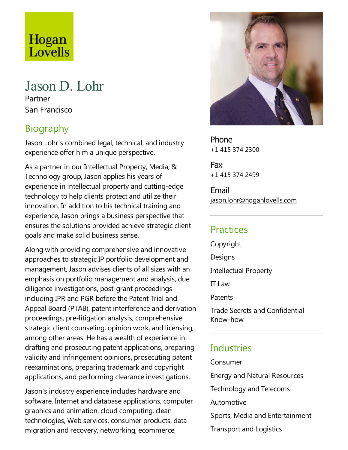# Hogan<br>Lovells

# Jason D. Lohr

Partner San Francisco

# **Biography**

Jason Lohr's combined legal, technical, and industry experience offer him a unique perspective.

As a partner in our Intellectual Property, Media, & Technology group, Jason applies his years of experience in intellectual property and cutting-edge technology to help clients protect and utilize their innovation. In addition to his technical training and experience, Jason brings a business perspective that ensures the solutions provided achieve strategic client goals and make solid business sense.

Along with providing comprehensive and innovative approaches to strategic IP portfolio development and management, Jason advises clients of all sizes with an emphasis on portfolio management and analysis, due diligence investigations, post-grant proceedings including IPR and PGR before the Patent Trial and Appeal Board (PTAB), patent interference and derivation proceedings, pre-litigation analysis, comprehensive strategic client counseling, opinion work, and licensing, among other areas. He has a wealth of experience in drafting and prosecuting patent applications, preparing validity and infringement opinions, prosecuting patent reexaminations, preparing trademark and copyright applications, and performing clearance investigations.

Jason's industry experience includes hardware and software, Internet and database applications, computer graphics and animation, cloud computing, clean technologies, Web services, consumer products, data migration and recovery, networking, ecommerce,



Phone +1 415 374 2300

Fax +1 415 374 2499

Email jason.lohr@hoganlovells.com

# Practices

Copyright

**Designs** 

Intellectual Property

ITLaw

**Patents** 

Trade Secrets and Confidential Know-how

#### **Industries**

Consumer

Energy and Natural Resources

Technology and Telecoms

Automotive

Sports, Media and Entertainment

**Transport and Logistics**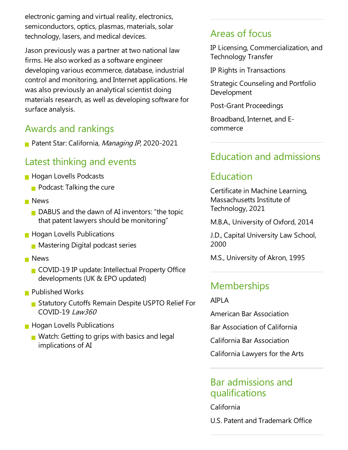electronic gaming and virtual reality, electronics, semiconductors, optics, plasmas, materials, solar technology, lasers, and medical devices.

Jason previously was a partner at two national law firms. He also worked as a software engineer developing various ecommerce, database, industrial control and monitoring, and Internet applications. He was also previously an analytical scientist doing materials research, as well as developing software for surface analysis.

# Awards and rankings

Patent Star: California, Managing IP, 2020-2021

#### Latest thinking and events

- **Hogan Lovells Podcasts** 
	- $\blacksquare$  Podcast: Talking the cure
- **News** 
	- $\blacksquare$  DABUS and the dawn of AI inventors: "the topic that patent lawyers should be monitoring"
- **Hogan Lovells Publications** 
	- **Mastering Digital podcast series**
- **News** 
	- COVID-19 IP update: Intellectual Property Office developments (UK & EPO updated)
- **Published Works** 
	- Statutory Cutoffs Remain Despite USPTO Relief For COVID-19 Law360
- **Hogan Lovells Publications** 
	- Watch: Getting to grips with basics and legal implications of AI

#### Areas of focus

IP Licensing, Commercialization,and Technology Transfer

IP Rights in Transactions

Strategic Counseling and Portfolio Development

Post-Grant Proceedings

Broadband, Internet, and Ecommerce

# Education and admissions

# Education

Certificate in Machine Learning, Massachusetts Institute of Technology, 2021

M.B.A., University of Oxford, 2014

J.D., Capital University Law School, 2000

M.S., University of Akron, 1995

#### **Memberships**

AIPLA

American Bar Association

Bar Association of California

California Bar Association

California Lawyers for the Arts

#### Bar admissions and qualifications

California

U.S. Patent and Trademark Office